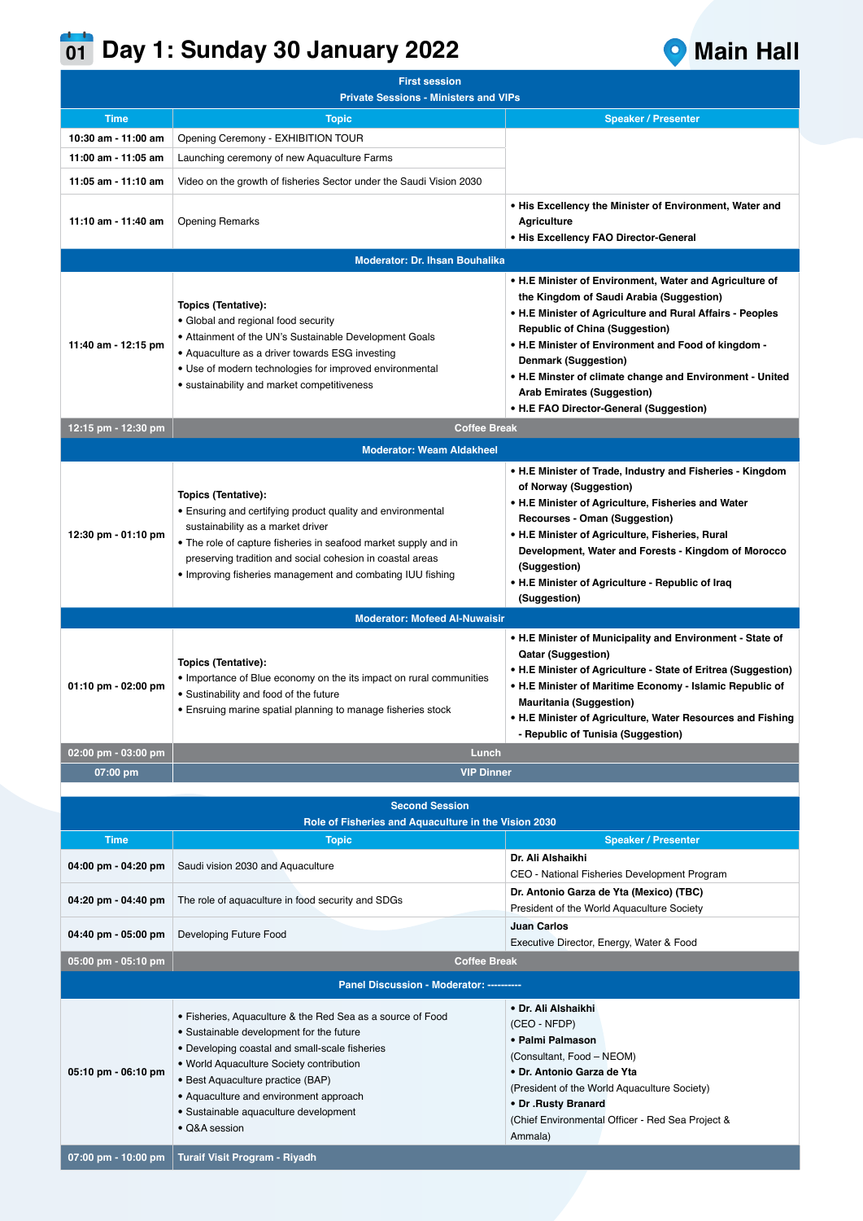## **Day 1: Sunday 30 January 2022 Main Hall 01**



| <b>First session</b>                         |                                                                                                                                                                                                                                                                                                                                               |                                                                                                                                                                                                                                                                                                                                                                                  |  |  |
|----------------------------------------------|-----------------------------------------------------------------------------------------------------------------------------------------------------------------------------------------------------------------------------------------------------------------------------------------------------------------------------------------------|----------------------------------------------------------------------------------------------------------------------------------------------------------------------------------------------------------------------------------------------------------------------------------------------------------------------------------------------------------------------------------|--|--|
| <b>Private Sessions - Ministers and VIPs</b> |                                                                                                                                                                                                                                                                                                                                               |                                                                                                                                                                                                                                                                                                                                                                                  |  |  |
| <b>Time</b>                                  | <b>Topic</b>                                                                                                                                                                                                                                                                                                                                  | <b>Speaker / Presenter</b>                                                                                                                                                                                                                                                                                                                                                       |  |  |
| 10:30 am - 11:00 am                          | Opening Ceremony - EXHIBITION TOUR                                                                                                                                                                                                                                                                                                            |                                                                                                                                                                                                                                                                                                                                                                                  |  |  |
| 11:00 am - 11:05 am                          | Launching ceremony of new Aquaculture Farms                                                                                                                                                                                                                                                                                                   |                                                                                                                                                                                                                                                                                                                                                                                  |  |  |
| 11:05 am - 11:10 am                          | Video on the growth of fisheries Sector under the Saudi Vision 2030                                                                                                                                                                                                                                                                           |                                                                                                                                                                                                                                                                                                                                                                                  |  |  |
| 11:10 am - 11:40 am                          | <b>Opening Remarks</b>                                                                                                                                                                                                                                                                                                                        | • His Excellency the Minister of Environment, Water and<br><b>Agriculture</b><br>• His Excellency FAO Director-General                                                                                                                                                                                                                                                           |  |  |
|                                              | <b>Moderator: Dr. Ihsan Bouhalika</b>                                                                                                                                                                                                                                                                                                         |                                                                                                                                                                                                                                                                                                                                                                                  |  |  |
|                                              |                                                                                                                                                                                                                                                                                                                                               | • H.E Minister of Environment, Water and Agriculture of                                                                                                                                                                                                                                                                                                                          |  |  |
| 11:40 am - 12:15 pm                          | Topics (Tentative):<br>• Global and regional food security<br>• Attainment of the UN's Sustainable Development Goals<br>• Aquaculture as a driver towards ESG investing<br>• Use of modern technologies for improved environmental<br>• sustainability and market competitiveness                                                             | the Kingdom of Saudi Arabia (Suggestion)<br>• H.E Minister of Agriculture and Rural Affairs - Peoples<br><b>Republic of China (Suggestion)</b><br>• H.E Minister of Environment and Food of kingdom -<br><b>Denmark (Suggestion)</b><br>• H.E Minster of climate change and Environment - United<br><b>Arab Emirates (Suggestion)</b><br>• H.E FAO Director-General (Suggestion) |  |  |
| 12:15 pm - 12:30 pm                          | <b>Coffee Break</b>                                                                                                                                                                                                                                                                                                                           |                                                                                                                                                                                                                                                                                                                                                                                  |  |  |
|                                              | <b>Moderator: Weam Aldakheel</b>                                                                                                                                                                                                                                                                                                              |                                                                                                                                                                                                                                                                                                                                                                                  |  |  |
| 12:30 pm - 01:10 pm                          | Topics (Tentative):<br>• Ensuring and certifying product quality and environmental<br>sustainability as a market driver<br>• The role of capture fisheries in seafood market supply and in<br>preserving tradition and social cohesion in coastal areas<br>• Improving fisheries management and combating IUU fishing                         | • H.E Minister of Trade, Industry and Fisheries - Kingdom<br>of Norway (Suggestion)<br>• H.E Minister of Agriculture, Fisheries and Water<br>Recourses - Oman (Suggestion)<br>• H.E Minister of Agriculture, Fisheries, Rural<br>Development, Water and Forests - Kingdom of Morocco<br>(Suggestion)<br>• H.E Minister of Agriculture - Republic of Iraq<br>(Suggestion)         |  |  |
|                                              | <b>Moderator: Mofeed Al-Nuwaisir</b>                                                                                                                                                                                                                                                                                                          |                                                                                                                                                                                                                                                                                                                                                                                  |  |  |
| 01:10 pm - 02:00 pm                          | Topics (Tentative):<br>• Importance of Blue economy on the its impact on rural communities<br>• Sustinability and food of the future<br>• Ensruing marine spatial planning to manage fisheries stock                                                                                                                                          | • H.E Minister of Municipality and Environment - State of<br><b>Qatar (Suggestion)</b><br>• H.E Minister of Agriculture - State of Eritrea (Suggestion)<br>• H.E Minister of Maritime Economy - Islamic Republic of<br><b>Mauritania (Suggestion)</b><br>• H.E Minister of Agriculture, Water Resources and Fishing<br>- Republic of Tunisia (Suggestion)                        |  |  |
| 02:00 pm - 03:00 pm                          | Lunch                                                                                                                                                                                                                                                                                                                                         |                                                                                                                                                                                                                                                                                                                                                                                  |  |  |
| 07:00 pm                                     | <b>VIP Dinner</b>                                                                                                                                                                                                                                                                                                                             |                                                                                                                                                                                                                                                                                                                                                                                  |  |  |
|                                              |                                                                                                                                                                                                                                                                                                                                               |                                                                                                                                                                                                                                                                                                                                                                                  |  |  |
|                                              | <b>Second Session</b>                                                                                                                                                                                                                                                                                                                         |                                                                                                                                                                                                                                                                                                                                                                                  |  |  |
|                                              | Role of Fisheries and Aquaculture in the Vision 2030                                                                                                                                                                                                                                                                                          |                                                                                                                                                                                                                                                                                                                                                                                  |  |  |
| <b>Time</b>                                  | <b>Topic</b>                                                                                                                                                                                                                                                                                                                                  | <b>Speaker / Presenter</b>                                                                                                                                                                                                                                                                                                                                                       |  |  |
| 04:00 pm - 04:20 pm                          | Saudi vision 2030 and Aquaculture                                                                                                                                                                                                                                                                                                             | Dr. Ali Alshaikhi<br>CEO - National Fisheries Development Program                                                                                                                                                                                                                                                                                                                |  |  |
| 04:20 pm - 04:40 pm                          | The role of aquaculture in food security and SDGs                                                                                                                                                                                                                                                                                             | Dr. Antonio Garza de Yta (Mexico) (TBC)<br>President of the World Aquaculture Society                                                                                                                                                                                                                                                                                            |  |  |
| 04:40 pm - 05:00 pm                          | Developing Future Food                                                                                                                                                                                                                                                                                                                        | <b>Juan Carlos</b><br>Executive Director, Energy, Water & Food                                                                                                                                                                                                                                                                                                                   |  |  |
| 05:00 pm - 05:10 pm                          | <b>Coffee Break</b>                                                                                                                                                                                                                                                                                                                           |                                                                                                                                                                                                                                                                                                                                                                                  |  |  |
|                                              | Panel Discussion - Moderator: ----------                                                                                                                                                                                                                                                                                                      |                                                                                                                                                                                                                                                                                                                                                                                  |  |  |
|                                              |                                                                                                                                                                                                                                                                                                                                               | • Dr. Ali Alshaikhi                                                                                                                                                                                                                                                                                                                                                              |  |  |
| 05:10 pm - 06:10 pm                          | · Fisheries, Aquaculture & the Red Sea as a source of Food<br>• Sustainable development for the future<br>• Developing coastal and small-scale fisheries<br>• World Aquaculture Society contribution<br>• Best Aquaculture practice (BAP)<br>• Aquaculture and environment approach<br>· Sustainable aquaculture development<br>• Q&A session | (CEO - NFDP)<br>• Palmi Palmason<br>(Consultant, Food - NEOM)<br>• Dr. Antonio Garza de Yta<br>(President of the World Aquaculture Society)<br>• Dr .Rusty Branard<br>(Chief Environmental Officer - Red Sea Project &<br>Ammala)                                                                                                                                                |  |  |
| 07:00 pm - 10:00 pm                          | Turaif Visit Program - Riyadh                                                                                                                                                                                                                                                                                                                 |                                                                                                                                                                                                                                                                                                                                                                                  |  |  |
|                                              |                                                                                                                                                                                                                                                                                                                                               |                                                                                                                                                                                                                                                                                                                                                                                  |  |  |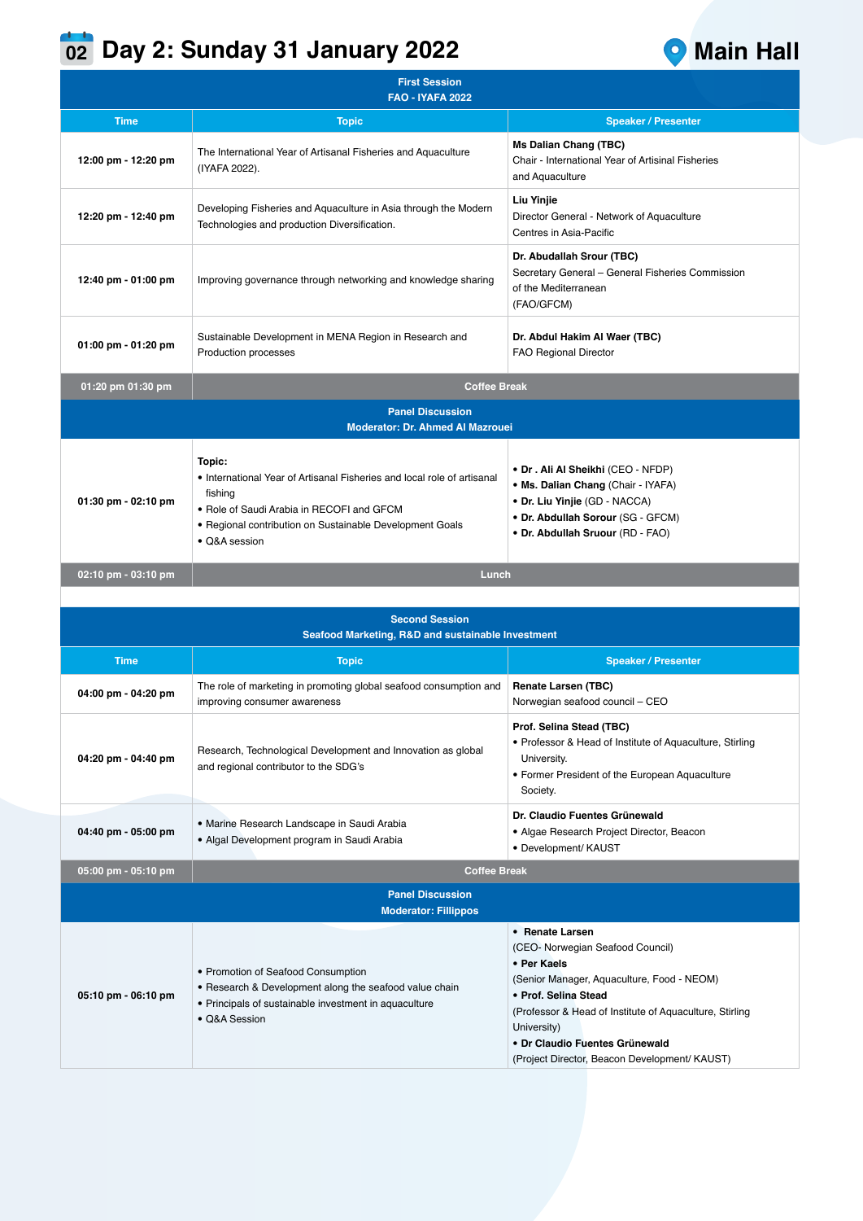## **02** Day 2: Sunday 31 January 2022 **Canadian Property 2018**



| <b>First Session</b><br><b>FAO - IYAFA 2022</b>                            |                                                                                                                                                                                                                        |                                                                                                                                                                                   |  |  |
|----------------------------------------------------------------------------|------------------------------------------------------------------------------------------------------------------------------------------------------------------------------------------------------------------------|-----------------------------------------------------------------------------------------------------------------------------------------------------------------------------------|--|--|
| <b>Time</b>                                                                | <b>Topic</b>                                                                                                                                                                                                           | <b>Speaker / Presenter</b>                                                                                                                                                        |  |  |
| 12:00 pm - 12:20 pm                                                        | The International Year of Artisanal Fisheries and Aquaculture<br>(IYAFA 2022).                                                                                                                                         | <b>Ms Dalian Chang (TBC)</b><br>Chair - International Year of Artisinal Fisheries<br>and Aquaculture                                                                              |  |  |
| 12:20 pm - 12:40 pm                                                        | Developing Fisheries and Aquaculture in Asia through the Modern<br>Technologies and production Diversification.                                                                                                        | Liu Yinjie<br>Director General - Network of Aquaculture<br>Centres in Asia-Pacific                                                                                                |  |  |
| 12:40 pm - 01:00 pm                                                        | Improving governance through networking and knowledge sharing                                                                                                                                                          | Dr. Abudallah Srour (TBC)<br>Secretary General - General Fisheries Commission<br>of the Mediterranean<br>(FAO/GFCM)                                                               |  |  |
| 01:00 pm - 01:20 pm                                                        | Sustainable Development in MENA Region in Research and<br>Production processes                                                                                                                                         | Dr. Abdul Hakim Al Waer (TBC)<br><b>FAO Regional Director</b>                                                                                                                     |  |  |
| 01:20 pm 01:30 pm                                                          | <b>Coffee Break</b>                                                                                                                                                                                                    |                                                                                                                                                                                   |  |  |
|                                                                            | <b>Panel Discussion</b><br><b>Moderator: Dr. Ahmed Al Mazrouei</b>                                                                                                                                                     |                                                                                                                                                                                   |  |  |
| 01:30 pm - 02:10 pm                                                        | Topic:<br>• International Year of Artisanal Fisheries and local role of artisanal<br>fishing<br>• Role of Saudi Arabia in RECOFI and GFCM<br>• Regional contribution on Sustainable Development Goals<br>· Q&A session | • Dr. Ali Al Sheikhi (CEO - NFDP)<br>• Ms. Dalian Chang (Chair - IYAFA)<br>• Dr. Liu Yinjie (GD - NACCA)<br>• Dr. Abdullah Sorour (SG - GFCM)<br>• Dr. Abdullah Sruour (RD - FAO) |  |  |
| 02:10 pm - 03:10 pm                                                        | Lunch                                                                                                                                                                                                                  |                                                                                                                                                                                   |  |  |
|                                                                            |                                                                                                                                                                                                                        |                                                                                                                                                                                   |  |  |
| <b>Second Session</b><br>Seafood Marketing, R&D and sustainable Investment |                                                                                                                                                                                                                        |                                                                                                                                                                                   |  |  |
| <b>Time</b>                                                                | <b>Topic</b>                                                                                                                                                                                                           | <b>Speaker / Presenter</b>                                                                                                                                                        |  |  |
| 04:00 pm - 04:20 pm                                                        | The role of marketing in promoting global seafood consumption and<br>improving consumer awareness                                                                                                                      | <b>Renate Larsen (TBC)</b><br>Norwegian seafood council - CEO                                                                                                                     |  |  |
| 04:20 pm - 04:40 pm                                                        | Research, Technological Development and Innovation as global<br>and regional contributor to the SDG's                                                                                                                  | Prof. Selina Stead (TBC)<br>• Professor & Head of Institute of Aquaculture, Stirling<br>University.<br>• Former President of the European Aquaculture                             |  |  |

| Seafood Marketing, R&D and sustainable Investment      |                                                                                                                                                                        |                                                                                                                                                                                                                                                                                                        |  |  |
|--------------------------------------------------------|------------------------------------------------------------------------------------------------------------------------------------------------------------------------|--------------------------------------------------------------------------------------------------------------------------------------------------------------------------------------------------------------------------------------------------------------------------------------------------------|--|--|
| <b>Time</b>                                            | <b>Topic</b>                                                                                                                                                           | <b>Speaker / Presenter</b>                                                                                                                                                                                                                                                                             |  |  |
| 04:00 pm - 04:20 pm                                    | The role of marketing in promoting global seafood consumption and<br>improving consumer awareness                                                                      | <b>Renate Larsen (TBC)</b><br>Norwegian seafood council - CEO                                                                                                                                                                                                                                          |  |  |
| 04:20 pm - 04:40 pm                                    | Research, Technological Development and Innovation as global<br>and regional contributor to the SDG's                                                                  | Prof. Selina Stead (TBC)<br>• Professor & Head of Institute of Aquaculture, Stirling<br>University.<br>• Former President of the European Aquaculture<br>Society.                                                                                                                                      |  |  |
| 04:40 pm - 05:00 pm                                    | • Marine Research Landscape in Saudi Arabia<br>• Algal Development program in Saudi Arabia                                                                             | Dr. Claudio Fuentes Grünewald<br>• Algae Research Project Director, Beacon<br>· Development/ KAUST                                                                                                                                                                                                     |  |  |
| 05:00 pm - 05:10 pm                                    | <b>Coffee Break</b>                                                                                                                                                    |                                                                                                                                                                                                                                                                                                        |  |  |
| <b>Panel Discussion</b><br><b>Moderator: Fillippos</b> |                                                                                                                                                                        |                                                                                                                                                                                                                                                                                                        |  |  |
| 05:10 pm - 06:10 pm                                    | • Promotion of Seafood Consumption<br>• Research & Development along the seafood value chain<br>• Principals of sustainable investment in aquaculture<br>• O&A Session | • Renate Larsen<br>(CEO- Norwegian Seafood Council)<br>• Per Kaels<br>(Senior Manager, Aquaculture, Food - NEOM)<br>• Prof. Selina Stead<br>(Professor & Head of Institute of Aquaculture, Stirling)<br>University)<br>• Dr Claudio Fuentes Grünewald<br>(Project Director, Beacon Development/ KAUST) |  |  |